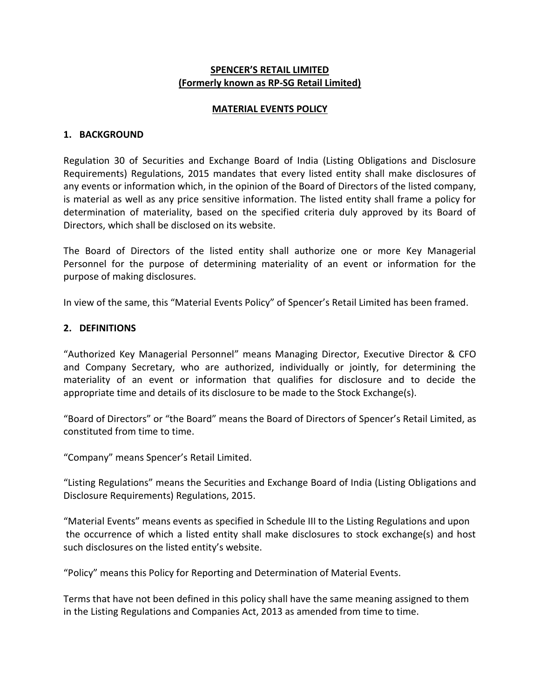## **SPENCER'S RETAIL LIMITED (Formerly known as RP-SG Retail Limited)**

### **MATERIAL EVENTS POLICY**

#### **1. BACKGROUND**

Regulation 30 of Securities and Exchange Board of India (Listing Obligations and Disclosure Requirements) Regulations, 2015 mandates that every listed entity shall make disclosures of any events or information which, in the opinion of the Board of Directors of the listed company, is material as well as any price sensitive information. The listed entity shall frame a policy for determination of materiality, based on the specified criteria duly approved by its Board of Directors, which shall be disclosed on its website.

The Board of Directors of the listed entity shall authorize one or more Key Managerial Personnel for the purpose of determining materiality of an event or information for the purpose of making disclosures.

In view of the same, this "Material Events Policy" of Spencer's Retail Limited has been framed.

### **2. DEFINITIONS**

"Authorized Key Managerial Personnel" means Managing Director, Executive Director & CFO and Company Secretary, who are authorized, individually or jointly, for determining the materiality of an event or information that qualifies for disclosure and to decide the appropriate time and details of its disclosure to be made to the Stock Exchange(s).

"Board of Directors" or "the Board" means the Board of Directors of Spencer's Retail Limited, as constituted from time to time.

"Company" means Spencer's Retail Limited.

"Listing Regulations" means the Securities and Exchange Board of India (Listing Obligations and Disclosure Requirements) Regulations, 2015.

"Material Events" means events as specified in Schedule III to the Listing Regulations and upon the occurrence of which a listed entity shall make disclosures to stock exchange(s) and host such disclosures on the listed entity's website.

"Policy" means this Policy for Reporting and Determination of Material Events.

Terms that have not been defined in this policy shall have the same meaning assigned to them in the Listing Regulations and Companies Act, 2013 as amended from time to time.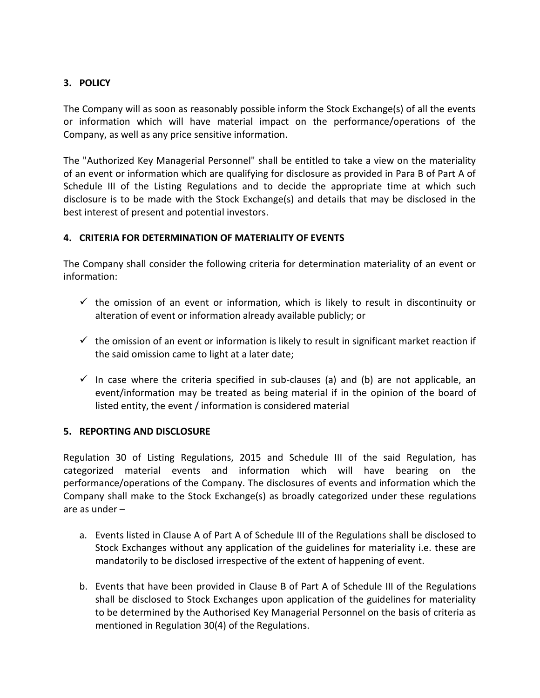# **3. POLICY**

The Company will as soon as reasonably possible inform the Stock Exchange(s) of all the events or information which will have material impact on the performance/operations of the Company, as well as any price sensitive information.

The "Authorized Key Managerial Personnel" shall be entitled to take a view on the materiality of an event or information which are qualifying for disclosure as provided in Para B of Part A of Schedule III of the Listing Regulations and to decide the appropriate time at which such disclosure is to be made with the Stock Exchange(s) and details that may be disclosed in the best interest of present and potential investors.

# **4. CRITERIA FOR DETERMINATION OF MATERIALITY OF EVENTS**

The Company shall consider the following criteria for determination materiality of an event or information:

- $\checkmark$  the omission of an event or information, which is likely to result in discontinuity or alteration of event or information already available publicly; or
- $\checkmark$  the omission of an event or information is likely to result in significant market reaction if the said omission came to light at a later date;
- $\checkmark$  In case where the criteria specified in sub-clauses (a) and (b) are not applicable, an event/information may be treated as being material if in the opinion of the board of listed entity, the event / information is considered material

# **5. REPORTING AND DISCLOSURE**

Regulation 30 of Listing Regulations, 2015 and Schedule III of the said Regulation, has categorized material events and information which will have bearing on the performance/operations of the Company. The disclosures of events and information which the Company shall make to the Stock Exchange(s) as broadly categorized under these regulations are as under –

- a. Events listed in Clause A of Part A of Schedule III of the Regulations shall be disclosed to Stock Exchanges without any application of the guidelines for materiality i.e. these are mandatorily to be disclosed irrespective of the extent of happening of event.
- b. Events that have been provided in Clause B of Part A of Schedule III of the Regulations shall be disclosed to Stock Exchanges upon application of the guidelines for materiality to be determined by the Authorised Key Managerial Personnel on the basis of criteria as mentioned in Regulation 30(4) of the Regulations.